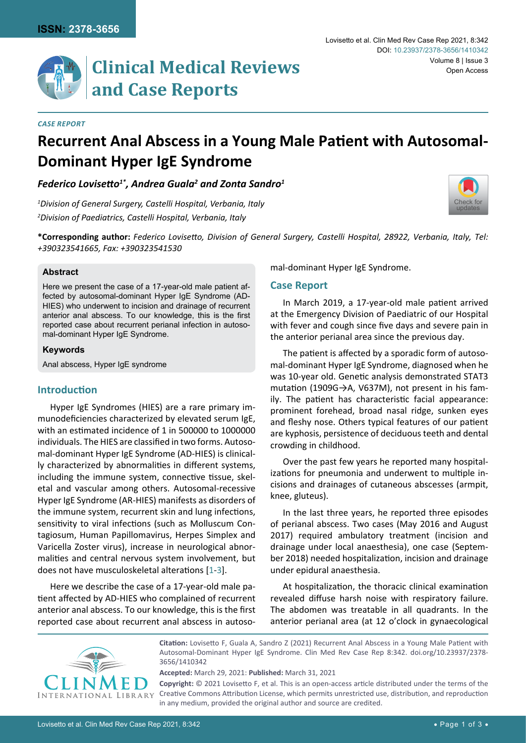*Case Report*

# **Clinical Medical Reviews and Case Reports**

## **Recurrent Anal Abscess in a Young Male Patient with Autosomal-Dominant Hyper IgE Syndrome**

*Federico Lovisetto1\*, Andrea Guala2 and Zonta Sandro1*

*1 Division of General Surgery, Castelli Hospital, Verbania, Italy 2 Division of Paediatrics, Castelli Hospital, Verbania, Italy*



#### **Abstract**

Here we present the case of a 17-year-old male patient affected by autosomal-dominant Hyper IgE Syndrome (AD-HIES) who underwent to incision and drainage of recurrent anterior anal abscess. To our knowledge, this is the first reported case about recurrent perianal infection in autosomal-dominant Hyper IgE Syndrome.

#### **Keywords**

Anal abscess, Hyper IgE syndrome

## **Introduction**

Hyper IgE Syndromes (HIES) are a rare primary immunodeficiencies characterized by elevated serum IgE, with an estimated incidence of 1 in 500000 to 1000000 individuals. The HIES are classified in two forms. Autosomal-dominant Hyper IgE Syndrome (AD-HIES) is clinically characterized by abnormalities in different systems, including the immune system, connective tissue, skeletal and vascular among others. Autosomal-recessive Hyper IgE Syndrome (AR-HIES) manifests as disorders of the immune system, recurrent skin and lung infections, sensitivity to viral infections (such as Molluscum Contagiosum, Human Papillomavirus, Herpes Simplex and Varicella Zoster virus), increase in neurological abnormalities and central nervous system involvement, but does not have musculoskeletal alterations [[1](#page-2-0)-[3](#page-2-1)].

Here we describe the case of a 17-year-old male patient affected by AD-HIES who complained of recurrent anterior anal abscess. To our knowledge, this is the first reported case about recurrent anal abscess in autosomal-dominant Hyper IgE Syndrome.

## **Case Report**

In March 2019, a 17-year-old male patient arrived at the Emergency Division of Paediatric of our Hospital with fever and cough since five days and severe pain in the anterior perianal area since the previous day.

The patient is affected by a sporadic form of autosomal-dominant Hyper IgE Syndrome, diagnosed when he was 10-year old. Genetic analysis demonstrated STAT3 mutation (1909G→A, V637M), not present in his family. The patient has characteristic facial appearance: prominent forehead, broad nasal ridge, sunken eyes and fleshy nose. Others typical features of our patient are kyphosis, persistence of deciduous teeth and dental crowding in childhood.

Over the past few years he reported many hospitalizations for pneumonia and underwent to multiple incisions and drainages of cutaneous abscesses (armpit, knee, gluteus).

In the last three years, he reported three episodes of perianal abscess. Two cases (May 2016 and August 2017) required ambulatory treatment (incision and drainage under local anaesthesia), one case (September 2018) needed hospitalization, incision and drainage under epidural anaesthesia.

At hospitalization, the thoracic clinical examination revealed diffuse harsh noise with respiratory failure. The abdomen was treatable in all quadrants. In the anterior perianal area (at 12 o'clock in gynaecological



**Citation:** Lovisetto F, Guala A, Sandro Z (2021) Recurrent Anal Abscess in a Young Male Patient with Autosomal-Dominant Hyper IgE Syndrome. Clin Med Rev Case Rep 8:342. [doi.org/10.23937/2378-](https://doi.org/10.23937/2378-3656/1410342) [3656/1410342](https://doi.org/10.23937/2378-3656/1410342)

**Accepted:** March 29, 2021: **Published:** March 31, 2021

**Copyright:** © 2021 Lovisetto F, et al. This is an open-access article distributed under the terms of the Creative Commons Attribution License, which permits unrestricted use, distribution, and reproduction in any medium, provided the original author and source are credited.

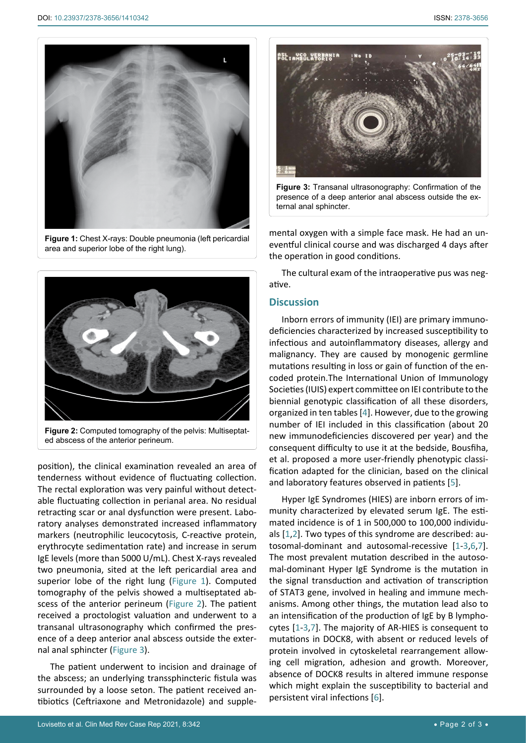<span id="page-1-0"></span>

**Figure 1:** Chest X-rays: Double pneumonia (left pericardial area and superior lobe of the right lung).

<span id="page-1-1"></span>

**Figure 2:** Computed tomography of the pelvis: Multiseptated abscess of the anterior perineum.

position), the clinical examination revealed an area of tenderness without evidence of fluctuating collection. The rectal exploration was very painful without detectable fluctuating collection in perianal area. No residual retracting scar or anal dysfunction were present. Laboratory analyses demonstrated increased inflammatory markers (neutrophilic leucocytosis, C-reactive protein, erythrocyte sedimentation rate) and increase in serum IgE levels (more than 5000 U/mL). Chest X-rays revealed two pneumonia, sited at the left pericardial area and superior lobe of the right lung ([Figure 1\)](#page-1-0). Computed tomography of the pelvis showed a multiseptated abscess of the anterior perineum [\(Figure 2](#page-1-1)). The patient received a proctologist valuation and underwent to a transanal ultrasonography which confirmed the presence of a deep anterior anal abscess outside the external anal sphincter ([Figure 3](#page-1-2)).

The patient underwent to incision and drainage of the abscess; an underlying transsphincteric fistula was surrounded by a loose seton. The patient received antibiotics (Ceftriaxone and Metronidazole) and supple-

<span id="page-1-2"></span>

**Figure 3:** Transanal ultrasonography: Confirmation of the presence of a deep anterior anal abscess outside the external anal sphincter.

mental oxygen with a simple face mask. He had an uneventful clinical course and was discharged 4 days after the operation in good conditions.

The cultural exam of the intraoperative pus was negative.

#### **Discussion**

Inborn errors of immunity (IEI) are primary immunodeficiencies characterized by increased susceptibility to infectious and autoinflammatory diseases, allergy and malignancy. They are caused by monogenic germline mutations resulting in loss or gain of function of the encoded protein.The International Union of Immunology Societies (IUIS) expert committee on IEI contribute to the biennial genotypic classification of all these disorders, organized in ten tables [\[4\]](#page-2-2). However, due to the growing number of IEI included in this classification (about 20 new immunodeficiencies discovered per year) and the consequent difficulty to use it at the bedside, Bousfiha, et al. proposed a more user-friendly phenotypic classification adapted for the clinician, based on the clinical and laboratory features observed in patients [[5](#page-2-3)].

Hyper IgE Syndromes (HIES) are inborn errors of immunity characterized by elevated serum IgE. The estimated incidence is of 1 in 500,000 to 100,000 individuals [[1](#page-2-0)[,2](#page-2-4)]. Two types of this syndrome are described: autosomal-dominant and autosomal-recessive [[1](#page-2-0)-[3,](#page-2-1)[6](#page-2-5),[7\]](#page-2-6). The most prevalent mutation described in the autosomal-dominant Hyper IgE Syndrome is the mutation in the signal transduction and activation of transcription of STAT3 gene, involved in healing and immune mechanisms. Among other things, the mutation lead also to an intensification of the production of IgE by B lymphocytes [[1](#page-2-0)-[3,](#page-2-1)[7](#page-2-6)]. The majority of AR-HIES is consequent to mutations in DOCK8, with absent or reduced levels of protein involved in cytoskeletal rearrangement allowing cell migration, adhesion and growth. Moreover, absence of DOCK8 results in altered immune response which might explain the susceptibility to bacterial and persistent viral infections [[6](#page-2-5)].